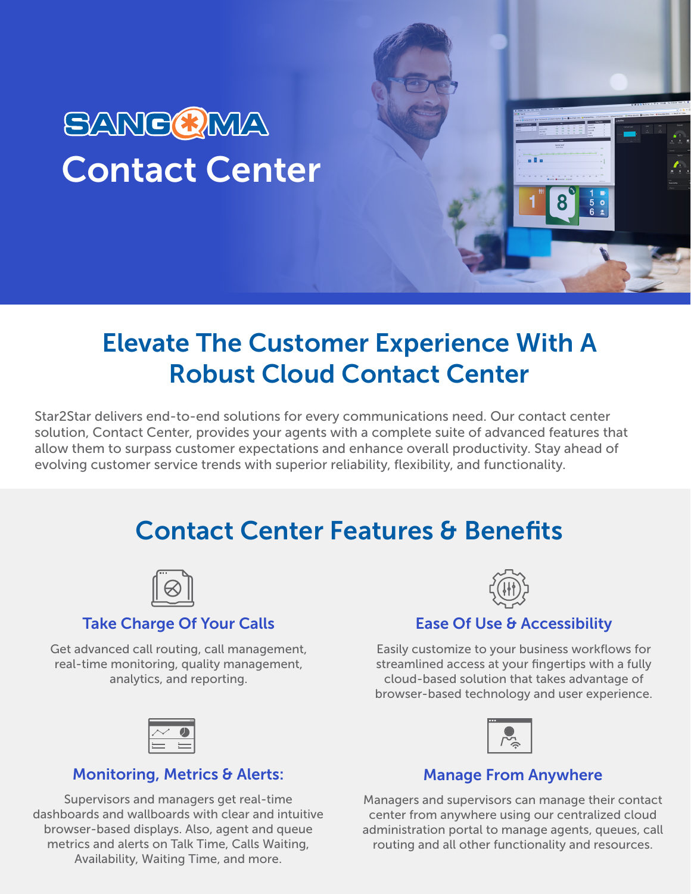# SANCCIMA Contact Center

# Elevate The Customer Experience With A Robust Cloud Contact Center

Star2Star delivers end-to-end solutions for every communications need. Our contact center solution, Contact Center, provides your agents with a complete suite of advanced features that allow them to surpass customer expectations and enhance overall productivity. Stay ahead of evolving customer service trends with superior reliability, flexibility, and functionality.

# Contact Center Features & Benefits



### Take Charge Of Your Calls

Get advanced call routing, call management, real-time monitoring, quality management, analytics, and reporting.



### Monitoring, Metrics & Alerts:

Supervisors and managers get real-time dashboards and wallboards with clear and intuitive browser-based displays. Also, agent and queue metrics and alerts on Talk Time, Calls Waiting, Availability, Waiting Time, and more.



## Ease Of Use & Accessibility

Easily customize to your business workflows for streamlined access at your fingertips with a fully cloud-based solution that takes advantage of browser-based technology and user experience.



### Manage From Anywhere

Managers and supervisors can manage their contact center from anywhere using our centralized cloud administration portal to manage agents, queues, call routing and all other functionality and resources.